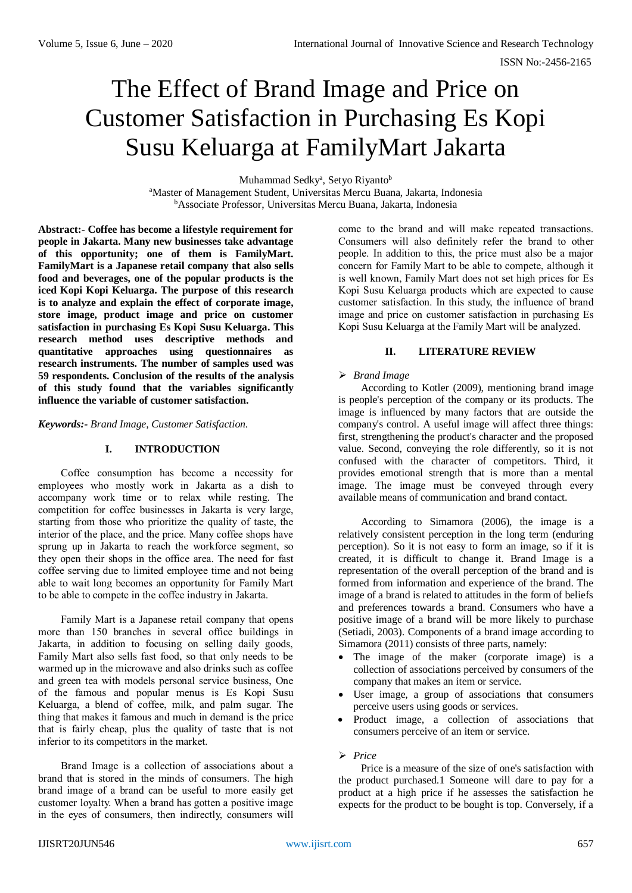# The Effect of Brand Image and Price on Customer Satisfaction in Purchasing Es Kopi Susu Keluarga at FamilyMart Jakarta

Muhammad Sedky<sup>a</sup>, Setyo Riyanto<sup>b</sup>

<sup>a</sup>Master of Management Student, Universitas Mercu Buana, Jakarta, Indonesia <sup>b</sup>Associate Professor, Universitas Mercu Buana, Jakarta, Indonesia

**Abstract:- Coffee has become a lifestyle requirement for people in Jakarta. Many new businesses take advantage of this opportunity; one of them is FamilyMart. FamilyMart is a Japanese retail company that also sells food and beverages, one of the popular products is the iced Kopi Kopi Keluarga. The purpose of this research is to analyze and explain the effect of corporate image, store image, product image and price on customer satisfaction in purchasing Es Kopi Susu Keluarga. This research method uses descriptive methods and quantitative approaches using questionnaires as research instruments. The number of samples used was 59 respondents. Conclusion of the results of the analysis of this study found that the variables significantly influence the variable of customer satisfaction.**

*Keywords:- Brand Image, Customer Satisfaction.*

#### **I. INTRODUCTION**

Coffee consumption has become a necessity for employees who mostly work in Jakarta as a dish to accompany work time or to relax while resting. The competition for coffee businesses in Jakarta is very large, starting from those who prioritize the quality of taste, the interior of the place, and the price. Many coffee shops have sprung up in Jakarta to reach the workforce segment, so they open their shops in the office area. The need for fast coffee serving due to limited employee time and not being able to wait long becomes an opportunity for Family Mart to be able to compete in the coffee industry in Jakarta.

Family Mart is a Japanese retail company that opens more than 150 branches in several office buildings in Jakarta, in addition to focusing on selling daily goods, Family Mart also sells fast food, so that only needs to be warmed up in the microwave and also drinks such as coffee and green tea with models personal service business, One of the famous and popular menus is Es Kopi Susu Keluarga, a blend of coffee, milk, and palm sugar. The thing that makes it famous and much in demand is the price that is fairly cheap, plus the quality of taste that is not inferior to its competitors in the market.

Brand Image is a collection of associations about a brand that is stored in the minds of consumers. The high brand image of a brand can be useful to more easily get customer loyalty. When a brand has gotten a positive image in the eyes of consumers, then indirectly, consumers will come to the brand and will make repeated transactions. Consumers will also definitely refer the brand to other people. In addition to this, the price must also be a major concern for Family Mart to be able to compete, although it is well known, Family Mart does not set high prices for Es Kopi Susu Keluarga products which are expected to cause customer satisfaction. In this study, the influence of brand image and price on customer satisfaction in purchasing Es Kopi Susu Keluarga at the Family Mart will be analyzed.

# **II. LITERATURE REVIEW**

## *Brand Image*

According to Kotler (2009), mentioning brand image is people's perception of the company or its products. The image is influenced by many factors that are outside the company's control. A useful image will affect three things: first, strengthening the product's character and the proposed value. Second, conveying the role differently, so it is not confused with the character of competitors. Third, it provides emotional strength that is more than a mental image. The image must be conveyed through every available means of communication and brand contact.

According to Simamora (2006), the image is a relatively consistent perception in the long term (enduring perception). So it is not easy to form an image, so if it is created, it is difficult to change it. Brand Image is a representation of the overall perception of the brand and is formed from information and experience of the brand. The image of a brand is related to attitudes in the form of beliefs and preferences towards a brand. Consumers who have a positive image of a brand will be more likely to purchase (Setiadi, 2003). Components of a brand image according to Simamora (2011) consists of three parts, namely:

- The image of the maker (corporate image) is a collection of associations perceived by consumers of the company that makes an item or service.
- User image, a group of associations that consumers perceive users using goods or services.
- Product image, a collection of associations that consumers perceive of an item or service.

*Price*

Price is a measure of the size of one's satisfaction with the product purchased.1 Someone will dare to pay for a product at a high price if he assesses the satisfaction he expects for the product to be bought is top. Conversely, if a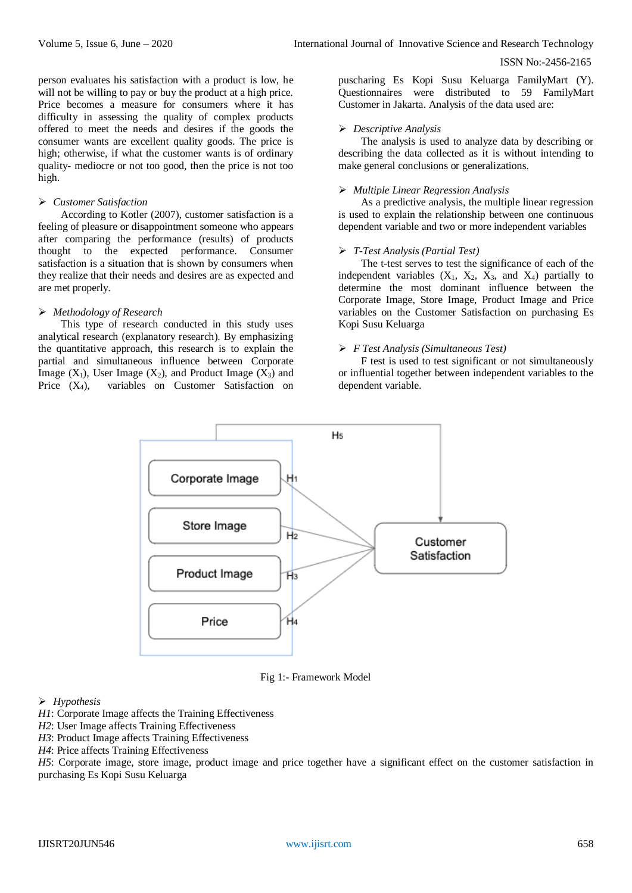person evaluates his satisfaction with a product is low, he will not be willing to pay or buy the product at a high price. Price becomes a measure for consumers where it has difficulty in assessing the quality of complex products offered to meet the needs and desires if the goods the consumer wants are excellent quality goods. The price is high; otherwise, if what the customer wants is of ordinary quality- mediocre or not too good, then the price is not too high.

## *Customer Satisfaction*

According to Kotler (2007), customer satisfaction is a feeling of pleasure or disappointment someone who appears after comparing the performance (results) of products thought to the expected performance. Consumer satisfaction is a situation that is shown by consumers when they realize that their needs and desires are as expected and are met properly.

# *Methodology of Research*

This type of research conducted in this study uses analytical research (explanatory research). By emphasizing the quantitative approach, this research is to explain the partial and simultaneous influence between Corporate Image  $(X_1)$ , User Image  $(X_2)$ , and Product Image  $(X_3)$  and Price  $(X_4)$ , variables on Customer Satisfaction on puscharing Es Kopi Susu Keluarga FamilyMart (Y). Questionnaires were distributed to 59 FamilyMart Customer in Jakarta. Analysis of the data used are:

# *Descriptive Analysis*

The analysis is used to analyze data by describing or describing the data collected as it is without intending to make general conclusions or generalizations.

# *Multiple Linear Regression Analysis*

As a predictive analysis, the multiple linear regression is used to explain the relationship between one continuous dependent variable and two or more independent variables

# *T-Test Analysis (Partial Test)*

The t-test serves to test the significance of each of the independent variables  $(X_1, X_2, X_3, \text{ and } X_4)$  partially to determine the most dominant influence between the Corporate Image, Store Image, Product Image and Price variables on the Customer Satisfaction on purchasing Es Kopi Susu Keluarga

# *F Test Analysis (Simultaneous Test)*

F test is used to test significant or not simultaneously or influential together between independent variables to the dependent variable.



Fig 1:- Framework Model

# *Hypothesis*

- *H1*: Corporate Image affects the Training Effectiveness
- *H2*: User Image affects Training Effectiveness
- *H3*: Product Image affects Training Effectiveness
- *H4*: Price affects Training Effectiveness

*H5*: Corporate image, store image, product image and price together have a significant effect on the customer satisfaction in purchasing Es Kopi Susu Keluarga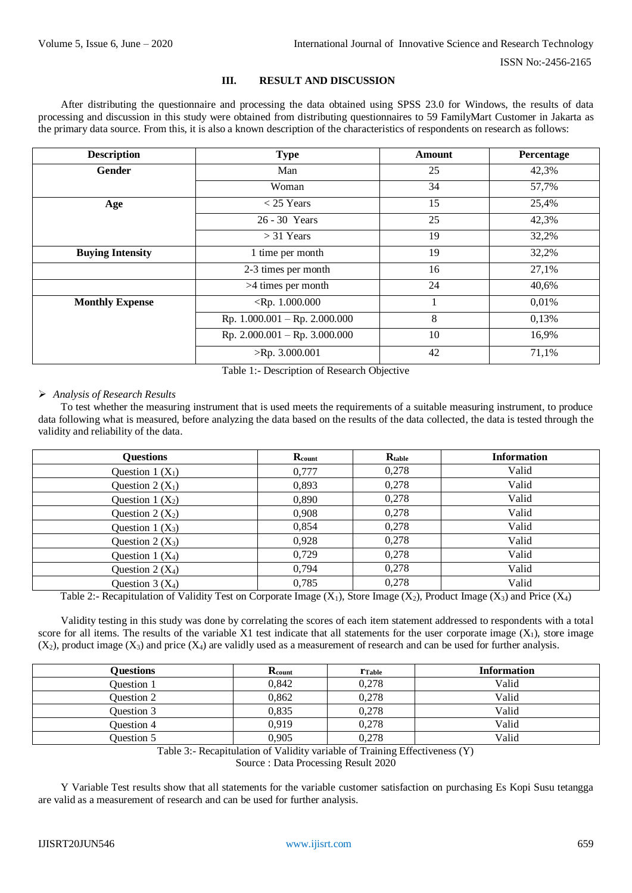# **III. RESULT AND DISCUSSION**

After distributing the questionnaire and processing the data obtained using SPSS 23.0 for Windows, the results of data processing and discussion in this study were obtained from distributing questionnaires to 59 FamilyMart Customer in Jakarta as the primary data source. From this, it is also a known description of the characteristics of respondents on research as follows:

| <b>Description</b>      | <b>Type</b>                     | Amount |       |
|-------------------------|---------------------------------|--------|-------|
| Gender                  | Man                             | 25     | 42,3% |
|                         | Woman                           | 34     | 57,7% |
| Age                     | $<$ 25 Years                    | 15     | 25,4% |
|                         | 26 - 30 Years                   | 25     | 42,3% |
|                         | $>$ 31 Years                    | 19     | 32,2% |
| <b>Buying Intensity</b> | 1 time per month                |        | 32,2% |
|                         | 2-3 times per month             | 16     | 27,1% |
|                         | >4 times per month              | 24     | 40,6% |
| <b>Monthly Expense</b>  | $\langle Rp. 1.000.000 \rangle$ |        | 0,01% |
|                         | Rp. $1.000.001 - Rp. 2.000.000$ | 8      | 0,13% |
|                         | Rp. $2.000.001 - Rp. 3.000.000$ | 10     | 16,9% |
|                         | $>$ Rp. 3.000.001               | 42     | 71,1% |

Table 1:- Description of Research Objective

## *Analysis of Research Results*

To test whether the measuring instrument that is used meets the requirements of a suitable measuring instrument, to produce data following what is measured, before analyzing the data based on the results of the data collected, the data is tested through the validity and reliability of the data.

| <b>Questions</b>   | Rcount | Rtable | <b>Information</b> |
|--------------------|--------|--------|--------------------|
| Question 1 $(X_1)$ | 0,777  | 0,278  | Valid              |
| Question $2(X_1)$  | 0,893  | 0,278  | Valid              |
| Question $1(X_2)$  | 0,890  | 0,278  | Valid              |
| Question $2(X_2)$  | 0,908  | 0,278  | Valid              |
| Question $1(X_3)$  | 0,854  | 0,278  | Valid              |
| Question $2(X_3)$  | 0,928  | 0,278  | Valid              |
| Question 1 $(X_4)$ | 0,729  | 0,278  | Valid              |
| Question $2(X_4)$  | 0,794  | 0,278  | Valid              |
| Question $3(X_4)$  | 0,785  | 0,278  | Valid              |

Table 2:- Recapitulation of Validity Test on Corporate Image  $(X_1)$ , Store Image  $(X_2)$ , Product Image  $(X_3)$  and Price  $(X_4)$ 

Validity testing in this study was done by correlating the scores of each item statement addressed to respondents with a total score for all items. The results of the variable X1 test indicate that all statements for the user corporate image  $(X_1)$ , store image  $(X_2)$ , product image  $(X_3)$  and price  $(X_4)$  are validly used as a measurement of research and can be used for further analysis.

| <b>Duestions</b> | Rcount | <b>T</b> Table | <b>Information</b> |
|------------------|--------|----------------|--------------------|
| Question 1       | 0.842  | 0,278          | Valid              |
| Question 2       | 0.862  | 0.278          | Valid              |
| Question 3       | 0.835  | 0.278          | Valid              |
| Ouestion 4       | 0.919  | 0.278          | Valid              |
| Question 5       | 0,905  | 0,278          | Valid              |

Table 3:- Recapitulation of Validity variable of Training Effectiveness (Y) Source : Data Processing Result 2020

Y Variable Test results show that all statements for the variable customer satisfaction on purchasing Es Kopi Susu tetangga are valid as a measurement of research and can be used for further analysis.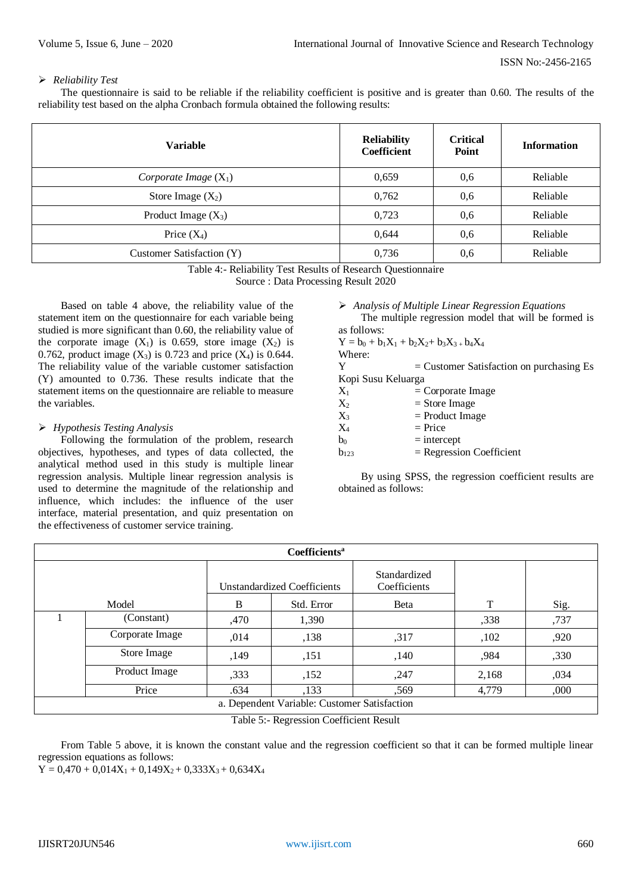## *Reliability Test*

The questionnaire is said to be reliable if the reliability coefficient is positive and is greater than 0.60. The results of the reliability test based on the alpha Cronbach formula obtained the following results:

| <b>Variable</b>           | <b>Reliability</b><br><b>Coefficient</b> | <b>Critical</b><br>Point | <b>Information</b> |
|---------------------------|------------------------------------------|--------------------------|--------------------|
| Corporate Image $(X_1)$   | 0,659                                    | 0,6                      | Reliable           |
| Store Image $(X_2)$       | 0,762                                    | 0,6                      | Reliable           |
| Product Image $(X_3)$     | 0.723                                    | 0,6                      | Reliable           |
| Price $(X_4)$             | 0,644                                    | 0,6                      | Reliable           |
| Customer Satisfaction (Y) | 0,736                                    | 0.6                      | Reliable           |

Table 4:- Reliability Test Results of Research Questionnaire

Source : Data Processing Result 2020

Based on table 4 above, the reliability value of the statement item on the questionnaire for each variable being studied is more significant than 0.60, the reliability value of the corporate image  $(X_1)$  is 0.659, store image  $(X_2)$  is 0.762, product image  $(X_3)$  is 0.723 and price  $(X_4)$  is 0.644. The reliability value of the variable customer satisfaction (Y) amounted to 0.736. These results indicate that the statement items on the questionnaire are reliable to measure the variables.

# *Hypothesis Testing Analysis*

Following the formulation of the problem, research objectives, hypotheses, and types of data collected, the analytical method used in this study is multiple linear regression analysis. Multiple linear regression analysis is used to determine the magnitude of the relationship and influence, which includes: the influence of the user interface, material presentation, and quiz presentation on the effectiveness of customer service training.

 *Analysis of Multiple Linear Regression Equations* The multiple regression model that will be formed is

| as follows:        |                                               |
|--------------------|-----------------------------------------------|
|                    | $Y = b_0 + b_1X_1 + b_2X_2 + b_3X_3 + b_4X_4$ |
| Where:             |                                               |
| Y                  | $=$ Customer Satisfaction on purchasing Es    |
| Kopi Susu Keluarga |                                               |
| $X_1$              | $=$ Corporate Image                           |
| $X_2$              | $=$ Store Image                               |
| $X_3$              | $=$ Product Image                             |
| $X_4$              | $=$ Price                                     |
| $b_0$              | $=$ intercept                                 |
| $b_{123}$          | $=$ Regression Coefficient                    |

By using SPSS, the regression coefficient results are obtained as follows:

|                                              | <b>Coefficients<sup>a</sup></b> |      |                                    |                              |       |      |  |
|----------------------------------------------|---------------------------------|------|------------------------------------|------------------------------|-------|------|--|
|                                              |                                 |      | <b>Unstandardized Coefficients</b> | Standardized<br>Coefficients |       |      |  |
|                                              | Model                           | B    | Std. Error                         | Beta                         | T     | Sig. |  |
|                                              | (Constant)                      | ,470 | 1,390                              |                              | ,338  | ,737 |  |
|                                              | Corporate Image                 | ,014 | ,138                               | ,317                         | ,102  | ,920 |  |
|                                              | Store Image                     | ,149 | ,151                               | ,140                         | ,984  | ,330 |  |
|                                              | Product Image                   | ,333 | ,152                               | ,247                         | 2,168 | ,034 |  |
|                                              | Price                           | .634 | ,133                               | ,569                         | 4,779 | ,000 |  |
| a. Dependent Variable: Customer Satisfaction |                                 |      |                                    |                              |       |      |  |

Table 5:- Regression Coefficient Result

From Table 5 above, it is known the constant value and the regression coefficient so that it can be formed multiple linear regression equations as follows:

 $Y = 0,470 + 0,014X_1 + 0,149X_2 + 0,333X_3 + 0,634X_4$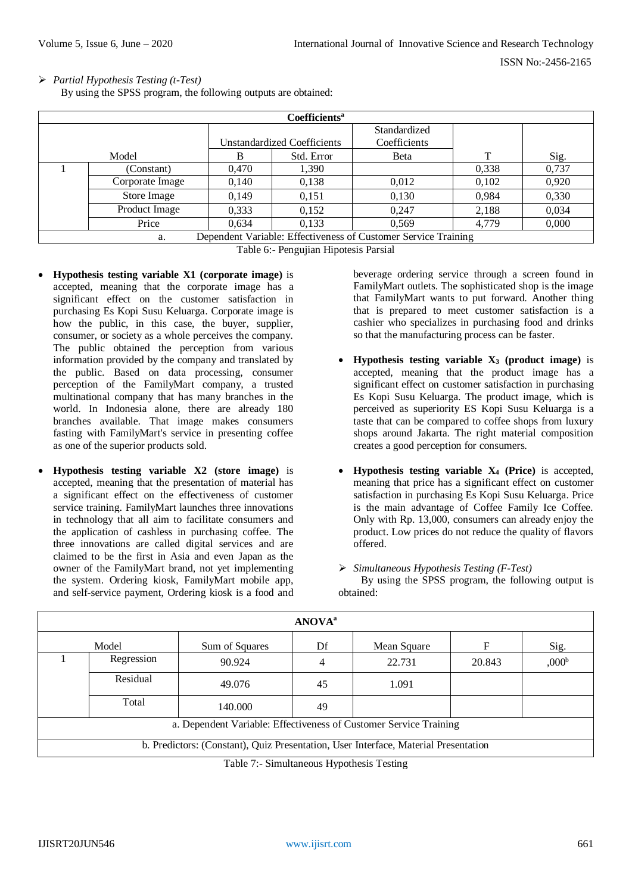*Partial Hypothesis Testing (t-Test)*

By using the SPSS program, the following outputs are obtained:

|                                                                      |                 |       | Coefficients <sup>a</sup>          |              |       |       |
|----------------------------------------------------------------------|-----------------|-------|------------------------------------|--------------|-------|-------|
|                                                                      |                 |       |                                    | Standardized |       |       |
|                                                                      |                 |       | <b>Unstandardized Coefficients</b> | Coefficients |       |       |
|                                                                      | Model           | в     | Std. Error                         | <b>B</b> eta | т     | Sig.  |
|                                                                      | (Constant)      | 0.470 | 1,390                              |              | 0.338 | 0,737 |
|                                                                      | Corporate Image | 0,140 | 0,138                              | 0,012        | 0,102 | 0,920 |
|                                                                      | Store Image     | 0.149 | 0,151                              | 0,130        | 0.984 | 0,330 |
|                                                                      | Product Image   | 0,333 | 0,152                              | 0.247        | 2,188 | 0,034 |
|                                                                      | Price           | 0.634 | 0.133                              | 0.569        | 4.779 | 0,000 |
| Dependent Variable: Effectiveness of Customer Service Training<br>a. |                 |       |                                    |              |       |       |

Table 6:- Pengujian Hipotesis Parsial

- **Hypothesis testing variable X1 (corporate image)** is accepted, meaning that the corporate image has a significant effect on the customer satisfaction in purchasing Es Kopi Susu Keluarga. Corporate image is how the public, in this case, the buyer, supplier, consumer, or society as a whole perceives the company. The public obtained the perception from various information provided by the company and translated by the public. Based on data processing, consumer perception of the FamilyMart company, a trusted multinational company that has many branches in the world. In Indonesia alone, there are already 180 branches available. That image makes consumers fasting with FamilyMart's service in presenting coffee as one of the superior products sold.
- **Hypothesis testing variable X2 (store image)** is accepted, meaning that the presentation of material has a significant effect on the effectiveness of customer service training. FamilyMart launches three innovations in technology that all aim to facilitate consumers and the application of cashless in purchasing coffee. The three innovations are called digital services and are claimed to be the first in Asia and even Japan as the owner of the FamilyMart brand, not yet implementing the system. Ordering kiosk, FamilyMart mobile app, and self-service payment, Ordering kiosk is a food and

beverage ordering service through a screen found in FamilyMart outlets. The sophisticated shop is the image that FamilyMart wants to put forward. Another thing that is prepared to meet customer satisfaction is a cashier who specializes in purchasing food and drinks so that the manufacturing process can be faster.

- **Hypothesis testing variable X<sup>3</sup> (product image)** is accepted, meaning that the product image has a significant effect on customer satisfaction in purchasing Es Kopi Susu Keluarga. The product image, which is perceived as superiority ES Kopi Susu Keluarga is a taste that can be compared to coffee shops from luxury shops around Jakarta. The right material composition creates a good perception for consumers.
- **Hypothesis testing variable X<sup>4</sup> (Price)** is accepted, meaning that price has a significant effect on customer satisfaction in purchasing Es Kopi Susu Keluarga. Price is the main advantage of Coffee Family Ice Coffee. Only with Rp. 13,000, consumers can already enjoy the product. Low prices do not reduce the quality of flavors offered.
- *Simultaneous Hypothesis Testing (F-Test)*

By using the SPSS program, the following output is obtained:

| <b>ANOVA</b> <sup>a</sup> |                                                                                     |                                                                   |    |             |        |                   |  |
|---------------------------|-------------------------------------------------------------------------------------|-------------------------------------------------------------------|----|-------------|--------|-------------------|--|
|                           | Model                                                                               | Sum of Squares                                                    | Df | Mean Square | F      | Sig.              |  |
|                           | Regression                                                                          | 90.924                                                            |    | 22.731      | 20.843 | ,000 <sup>b</sup> |  |
|                           | Residual                                                                            | 49.076                                                            | 45 | 1.091       |        |                   |  |
|                           | Total                                                                               | 140.000                                                           | 49 |             |        |                   |  |
|                           |                                                                                     | a. Dependent Variable: Effectiveness of Customer Service Training |    |             |        |                   |  |
|                           | b. Predictors: (Constant), Quiz Presentation, User Interface, Material Presentation |                                                                   |    |             |        |                   |  |

Table 7:- Simultaneous Hypothesis Testing